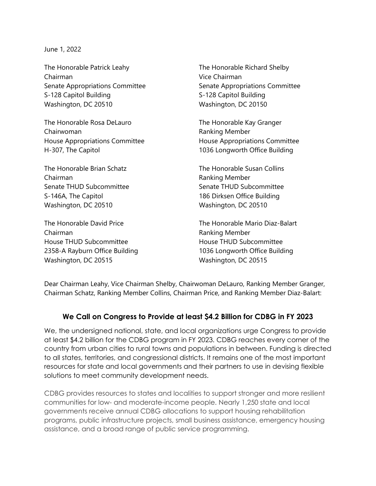June 1, 2022

The Honorable Patrick Leahy The Honorable Richard Shelby Chairman Vice Chairman S-128 Capitol Building S-128 Capitol Building Washington, DC 20510 Washington, DC 20150

The Honorable Rosa DeLauro The Honorable Kay Granger Chairwoman **Ranking Member** Ranking Member H-307, The Capitol 1036 Longworth Office Building

The Honorable Brian Schatz The Honorable Susan Collins Chairman **Chairman** Ranking Member Senate THUD Subcommittee Senate THUD Subcommittee S-146A, The Capitol 186 Dirksen Office Building Washington, DC 20510 Washington, DC 20510

Chairman **Ranking Member** House THUD Subcommittee **House THUD Subcommittee** Washington, DC 20515 Washington, DC 20515

Senate Appropriations Committee Senate Appropriations Committee

House Appropriations Committee House Appropriations Committee

The Honorable David Price The The Honorable Mario Diaz-Balart 2358-A Rayburn Office Building 1036 Longworth Office Building

Dear Chairman Leahy, Vice Chairman Shelby, Chairwoman DeLauro, Ranking Member Granger, Chairman Schatz, Ranking Member Collins, Chairman Price, and Ranking Member Diaz-Balart:

## **We Call on Congress to Provide at least \$4.2 Billion for CDBG in FY 2023**

We, the undersigned national, state, and local organizations urge Congress to provide at least \$4.2 billion for the CDBG program in FY 2023. CDBG reaches every corner of the country from urban cities to rural towns and populations in between. Funding is directed to all states, territories, and congressional districts. It remains one of the most important resources for state and local governments and their partners to use in devising flexible solutions to meet community development needs.

CDBG provides resources to states and localities to support stronger and more resilient communities for low- and moderate-income people. Nearly 1,250 state and local governments receive annual CDBG allocations to support housing rehabilitation programs, public infrastructure projects, small business assistance, emergency housing assistance, and a broad range of public service programming.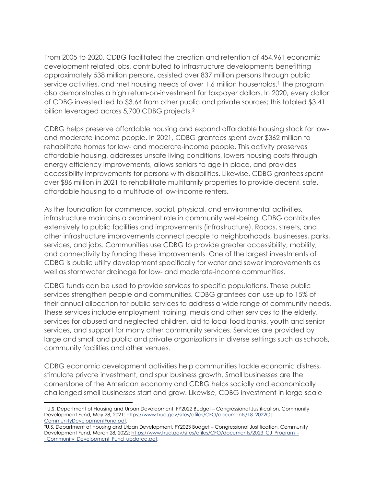From 2005 to 2020, CDBG facilitated the creation and retention of 454,961 economic development related jobs, contributed to infrastructure developments benefitting approximately 538 million persons, assisted over 837 million persons through public service activities, and met housing needs of over [1](#page-1-0).6 million households.<sup>1</sup> The program also demonstrates a high return-on-investment for taxpayer dollars. In 2020, every dollar of CDBG invested led to \$3.64 from other public and private sources; this totaled \$3.41 billion leveraged across 5,700 CDBG projects.[2](#page-1-1)

CDBG helps preserve affordable housing and expand affordable housing stock for lowand moderate-income people. In 2021, CDBG grantees spent over \$362 million to rehabilitate homes for low- and moderate-income people. This activity preserves affordable housing, addresses unsafe living conditions, lowers housing costs through energy efficiency improvements, allows seniors to age in place, and provides accessibility improvements for persons with disabilities. Likewise, CDBG grantees spent over \$86 million in 2021 to rehabilitate multifamily properties to provide decent, safe, affordable housing to a multitude of low-income renters.

As the foundation for commerce, social, physical, and environmental activities, infrastructure maintains a prominent role in community well-being. CDBG contributes extensively to public facilities and improvements (infrastructure). Roads, streets, and other infrastructure improvements connect people to neighborhoods, businesses, parks, services, and jobs. Communities use CDBG to provide greater accessibility, mobility, and connectivity by funding these improvements. One of the largest investments of CDBG is public utility development specifically for water and sewer improvements as well as stormwater drainage for low- and moderate-income communities.

CDBG funds can be used to provide services to specific populations. These public services strengthen people and communities. CDBG grantees can use up to 15% of their annual allocation for public services to address a wide range of community needs. These services include employment training, meals and other services to the elderly, services for abused and neglected children, aid to local food banks, youth and senior services, and support for many other community services. Services are provided by large and small and public and private organizations in diverse settings such as schools, community facilities and other venues.

CDBG economic development activities help communities tackle economic distress, stimulate private investment, and spur business growth. Small businesses are the cornerstone of the American economy and CDBG helps socially and economically challenged small businesses start and grow. Likewise, CDBG investment in large-scale

<span id="page-1-0"></span><sup>1</sup> U.S. Department of Housing and Urban Development, FY2022 Budget – Congressional Justification, Community Development Fund, May 28, 2021: https://www.hud.gov/sites/dfiles/CFO/documents/18\_2022CJ-CommunityDevelopmentFund.pdf.

<span id="page-1-1"></span><sup>2</sup>U.S. Department of Housing and Urban Development, FY2023 Budget – Congressional Justification, Community Development Fund, March 28, 2022: [https://www.hud.gov/sites/dfiles/CFO/documents/2023\\_CJ\\_Program\\_-](https://www.hud.gov/sites/dfiles/CFO/documents/2023_CJ_Program_-_Community_Development_Fund_updated.pdf) [\\_Community\\_Development\\_Fund\\_updated.pdf.](https://www.hud.gov/sites/dfiles/CFO/documents/2023_CJ_Program_-_Community_Development_Fund_updated.pdf)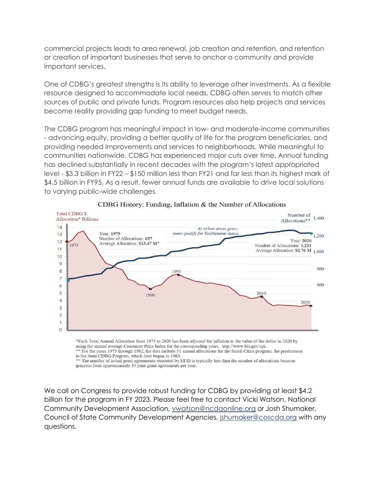commercial projects leads to area renewal, job creation and retention, and retention or creation of important businesses that serve to anchor a community and provide important services.

One of CDBG's greatest strengths is its ability to leverage other investments. As a flexible resource designed to accommodate local needs, CDBG often serves to match other sources of public and private funds. Program resources also help projects and services become reality providing gap funding to meet budget needs.

The CDBG program has meaningful impact in low- and moderate-income communities - advancing equity, providing a better quality of life for the program beneficiaries, and providing needed improvements and services to neighborhoods. While meaningful to communities nationwide, CDBG has experienced major cuts over time. Annual funding has declined substantially in recent decades with the program's latest appropriated level - \$3.3 billion in FY22 – \$150 million less than FY21 and far less than its highest mark of \$4.5 billion in FY95. As a result, fewer annual funds are available to drive local solutions to varying public-wide challenges.



## CDBG History: Funding, Inflation & the Number of Allocations

\*Each Total Annual Allocation from 1975 to 2020 has been adjusted for inflation to the value of the dollar in 2020 by using the annual average Consumer Price Index for the corresponding years. http://www.bls.gov/cpi. \*\* For the years 1975 through 1982, the data include 51 annual allocations for the Small Cities program, the predecessor

to the State CDBG Program, which later began in 1983. \*\* The number of actual grant agreements executed by HUD is typically less than the number of allocations because

grantees form approximately 35 joint grant agreements per year.

We call on Congress to provide robust funding for CDBG by providing at least \$4.2 billion for the program in FY 2023. Please feel free to contact Vicki Watson, National Community Development Association, [vwatson@ncdaonline.org](mailto:vwatson@ncdaonline.org) or Josh Shumaker, Council of State Community Development Agencies, [jshumaker@coscda.org](mailto:jshumaker@coscda.org) with any questions.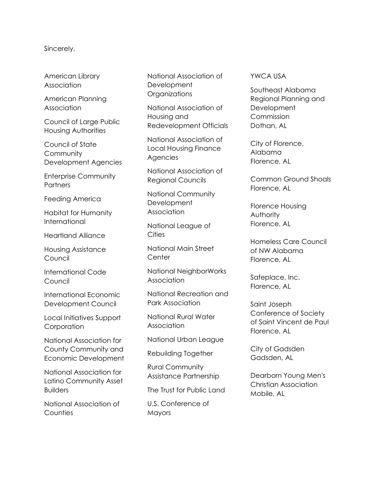## Sincerely,

American Library Association

American Planning **Association** 

Council of Large Public Housing Authorities

Council of State **Community** Development Agencies

Enterprise Community **Partners** 

Feeding America

Habitat for Humanity International

Heartland Alliance

Housing Assistance Council

International Code Council

International Economic Development Council

Local Initiatives Support Corporation

National Association for County Community and Economic Development

National Association for Latino Community Asset Builders

National Association of **Counties** 

National Association of Development **Organizations** 

National Association of Housing and Redevelopment Officials

National Association of Local Housing Finance Agencies

National Association of Regional Councils

National Community **Development** Association

National League of **Cities** 

National Main Street **Center** 

National NeighborWorks Association

National Recreation and Park Association

National Rural Water Association

National Urban League

Rebuilding Together

Rural Community Assistance Partnership

The Trust for Public Land

U.S. Conference of **Mayors** 

## YWCA USA

Southeast Alabama Regional Planning and **Development Commission** Dothan, AL

City of Florence, Alabama Florence, AL

Common Ground Shoals Florence, AL

Florence Housing Authority Florence, AL

Homeless Care Council of NW Alabama Florence, AL

Safeplace, Inc. Florence, AL

Saint Joseph Conference of Society of Saint Vincent de Paul Florence, AL

City of Gadsden Gadsden, AL

Dearborn Young Men's Christian Association Mobile, AL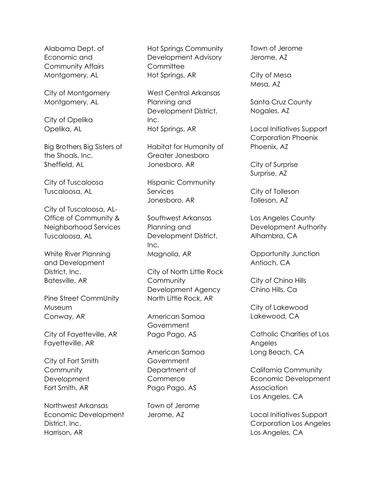Alabama Dept. of Economic and Community Affairs Montgomery, AL

City of Montgomery Montgomery, AL

City of Opelika Opelika, AL

Big Brothers Big Sisters of the Shoals, Inc. Sheffield, AL

City of Tuscaloosa Tuscaloosa, AL

City of Tuscaloosa, AL-Office of Community & Neighborhood Services Tuscaloosa, AL

White River Planning and Development District, Inc. Batesville, AR

Pine Street CommUnity Museum Conway, AR

City of Fayetteville, AR Fayetteville, AR

City of Fort Smith **Community Development** Fort Smith, AR

Northwest Arkansas Economic Development District, Inc. Harrison, AR

Hot Springs Community Development Advisory **Committee** Hot Springs, AR

West Central Arkansas Planning and Development District, Inc. Hot Springs, AR

Habitat for Humanity of Greater Jonesboro Jonesboro, AR

Hispanic Community Services Jonesboro, AR

Southwest Arkansas Planning and Development District,  $Inc.$ Magnolia, AR

City of North Little Rock **Community** Development Agency North Little Rock, AR

American Samoa **Government** Pago Pago, AS

American Samoa **Government** Department of **Commerce** Pago Pago, AS

Town of Jerome Jerome, AZ

Town of Jerome Jerome, AZ

City of Mesa Mesa, AZ

Santa Cruz County Nogales, AZ

Local Initiatives Support Corporation Phoenix Phoenix, AZ

City of Surprise Surprise, AZ

City of Tolleson Tolleson, AZ

Los Angeles County Development Authority Alhambra, CA

Opportunity Junction Antioch, CA

City of Chino Hills Chino Hills, Ca

City of Lakewood Lakewood, CA

Catholic Charities of Los Angeles Long Beach, CA

California Community Economic Development **Association** Los Angeles, CA

Local Initiatives Support Corporation Los Angeles Los Angeles, CA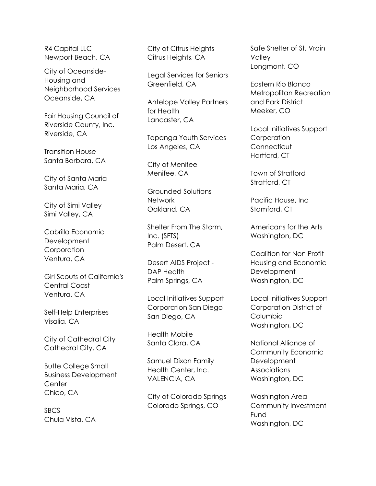R4 Capital LLC Newport Beach, CA

City of Oceanside-Housing and Neighborhood Services Oceanside, CA

Fair Housing Council of Riverside County, Inc. Riverside, CA

Transition House Santa Barbara, CA

City of Santa Maria Santa Maria, CA

City of Simi Valley Simi Valley, CA

Cabrillo Economic Development **Corporation** Ventura, CA

Girl Scouts of California's Central Coast Ventura, CA

Self-Help Enterprises Visalia, CA

City of Cathedral City Cathedral City, CA

Butte College Small Business Development **Center** Chico, CA

SBCS Chula Vista, CA City of Citrus Heights Citrus Heights, CA

Legal Services for Seniors Greenfield, CA

Antelope Valley Partners for Health Lancaster, CA

Topanga Youth Services Los Angeles, CA

City of Menifee Menifee, CA

Grounded Solutions Network Oakland, CA

Shelter From The Storm, Inc. (SFTS) Palm Desert, CA

Desert AIDS Project - DAP Health Palm Springs, CA

Local Initiatives Support Corporation San Diego San Diego, CA

Health Mobile Santa Clara, CA

Samuel Dixon Family Health Center, Inc. VALENCIA, CA

City of Colorado Springs Colorado Springs, CO

Safe Shelter of St. Vrain Valley Longmont, CO

Eastern Rio Blanco Metropolitan Recreation and Park District Meeker, CO

Local Initiatives Support **Corporation Connecticut** Hartford, CT

Town of Stratford Stratford, CT

Pacific House, Inc Stamford, CT

Americans for the Arts Washington, DC

Coalition for Non Profit Housing and Economic **Development** Washington, DC

Local Initiatives Support Corporation District of **Columbia** Washington, DC

National Alliance of Community Economic **Development Associations** Washington, DC

Washington Area Community Investment Fund Washington, DC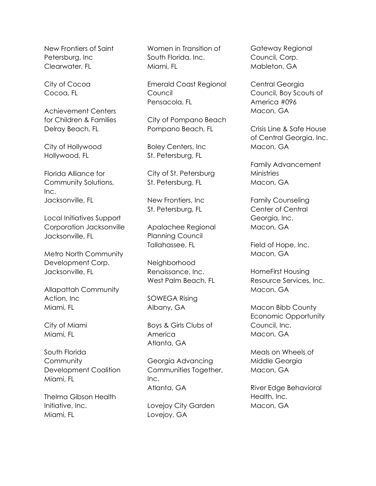New Frontiers of Saint Petersburg, Inc Clearwater, FL

City of Cocoa Cocoa, FL

Achievement Centers for Children & Families Delray Beach, FL

City of Hollywood Hollywood, FL

Florida Alliance for Community Solutions, Inc. Jacksonville, FL

Local Initiatives Support Corporation Jacksonville Jacksonville, FL

Metro North Community Development Corp. Jacksonville, FL

Allapattah Community Action, Inc Miami, FL

City of Miami Miami, FL

South Florida **Community** Development Coalition Miami, FL

Thelma Gibson Health Initiative, Inc. Miami, FL

Women in Transition of South Florida, Inc. Miami, FL

Emerald Coast Regional Council Pensacola, FL

City of Pompano Beach Pompano Beach, FL

Boley Centers, Inc St. Petersburg, FL

City of St. Petersburg St. Petersburg, FL

New Frontiers, Inc St. Petersburg, FL

Apalachee Regional Planning Council Tallahassee, FL

Neighborhood Renaissance, Inc. West Palm Beach, FL

SOWEGA Rising Albany, GA

Boys & Girls Clubs of America Atlanta, GA

Georgia Advancing Communities Together, Inc. Atlanta, GA

Lovejoy City Garden Lovejoy, GA

Gateway Regional Council, Corp. Mableton, GA

Central Georgia Council, Boy Scouts of America #096 Macon, GA

Crisis Line & Safe House of Central Georgia, Inc. Macon, GA

Family Advancement **Ministries** Macon, GA

Family Counseling Center of Central Georgia, Inc. Macon, GA

Field of Hope, Inc. Macon, GA

HomeFirst Housing Resource Services, Inc. Macon, GA

Macon Bibb County Economic Opportunity Council, Inc. Macon, GA

Meals on Wheels of Middle Georgia Macon, GA

River Edge Behavioral Health, Inc. Macon, GA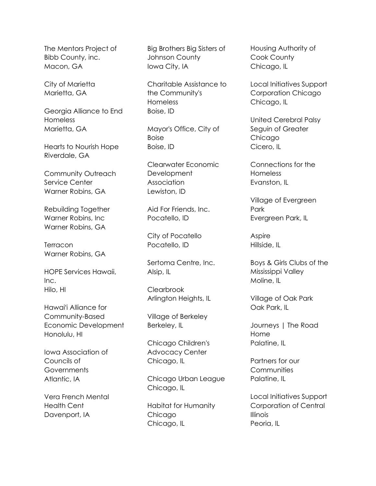The Mentors Project of Bibb County, inc. Macon, GA

City of Marietta Marietta, GA

Georgia Alliance to End Homeless Marietta, GA

Hearts to Nourish Hope Riverdale, GA

Community Outreach Service Center Warner Robins, GA

Rebuilding Together Warner Robins, Inc Warner Robins, GA

**Terracon** Warner Robins, GA

HOPE Services Hawaii, Inc. Hilo, HI

Hawaiʻi Alliance for Community-Based Economic Development Honolulu, HI

Iowa Association of Councils of **Governments** Atlantic, IA

Vera French Mental Health Cent Davenport, IA

Big Brothers Big Sisters of Johnson County Iowa City, IA

Charitable Assistance to the Community's Homeless Boise, ID

Mayor's Office, City of Boise Boise, ID

Clearwater Economic Development Association Lewiston, ID

Aid For Friends, Inc. Pocatello, ID

City of Pocatello Pocatello, ID

Sertoma Centre, Inc. Alsip, IL

**Clearbrook** Arlington Heights, IL

Village of Berkeley Berkeley, IL

Chicago Children's Advocacy Center Chicago, IL

Chicago Urban League Chicago, IL

Habitat for Humanity Chicago Chicago, IL

Housing Authority of Cook County Chicago, IL

Local Initiatives Support Corporation Chicago Chicago, IL

United Cerebral Palsy Seguin of Greater Chicago Cicero, IL

Connections for the Homeless Evanston, IL

Village of Evergreen Park Evergreen Park, IL

Aspire Hillside, IL

Boys & Girls Clubs of the Mississippi Valley Moline, IL

Village of Oak Park Oak Park, IL

Journeys | The Road Home Palatine, IL

Partners for our **Communities** Palatine, IL

Local Initiatives Support Corporation of Central Illinois Peoria, IL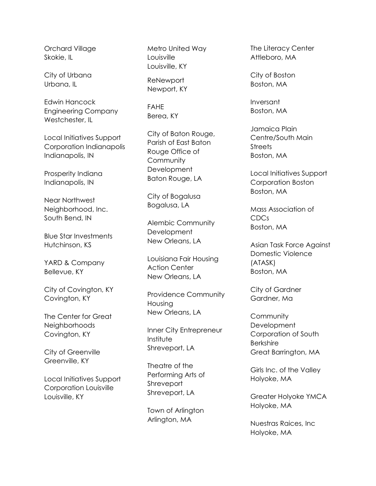Orchard Village Skokie, IL

City of Urbana Urbana, IL

Edwin Hancock Engineering Company Westchester, IL

Local Initiatives Support Corporation Indianapolis Indianapolis, IN

Prosperity Indiana Indianapolis, IN

Near Northwest Neighborhood, Inc. South Bend, IN

Blue Star Investments Hutchinson, KS

YARD & Company Bellevue, KY

City of Covington, KY Covington, KY

The Center for Great Neighborhoods Covington, KY

City of Greenville Greenville, KY

Local Initiatives Support Corporation Louisville Louisville, KY

Metro United Way Louisville Louisville, KY

ReNewport Newport, KY

FAHE Berea, KY

City of Baton Rouge, Parish of East Baton Rouge Office of **Community Development** Baton Rouge, LA

City of Bogalusa Bogalusa, LA

Alembic Community **Development** New Orleans, LA

Louisiana Fair Housing Action Center New Orleans, LA

Providence Community Housing New Orleans, LA

Inner City Entrepreneur Institute Shreveport, LA

Theatre of the Performing Arts of **Shreveport** Shreveport, LA

Town of Arlington Arlington, MA

The Literacy Center Attleboro, MA

City of Boston Boston, MA

Inversant Boston, MA

Jamaica Plain Centre/South Main **Streets** Boston, MA

Local Initiatives Support Corporation Boston Boston, MA

Mass Association of CDCs Boston, MA

Asian Task Force Against Domestic Violence (ATASK) Boston, MA

City of Gardner Gardner, Ma

**Community Development** Corporation of South Berkshire Great Barrington, MA

Girls Inc. of the Valley Holyoke, MA

Greater Holyoke YMCA Holyoke, MA

Nuestras Raices, Inc Holyoke, MA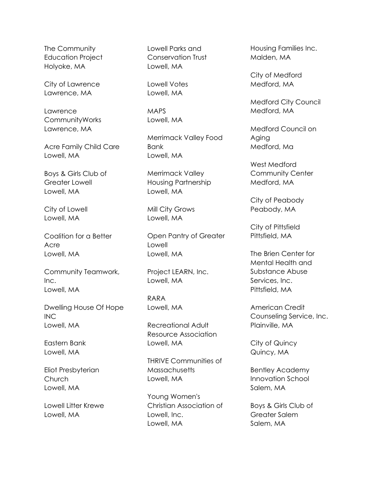The Community Education Project Holyoke, MA

City of Lawrence Lawrence, MA

Lawrence CommunityWorks Lawrence, MA

Acre Family Child Care Lowell, MA

Boys & Girls Club of Greater Lowell Lowell, MA

City of Lowell Lowell, MA

Coalition for a Better Acre Lowell, MA

Community Teamwork, Inc. Lowell, MA

Dwelling House Of Hope INC Lowell, MA

Eastern Bank Lowell, MA

Eliot Presbyterian Church Lowell, MA

Lowell Litter Krewe Lowell, MA

Lowell Parks and Conservation Trust Lowell, MA

Lowell Votes Lowell, MA

MAPS Lowell, MA

Merrimack Valley Food Bank Lowell, MA

Merrimack Valley Housing Partnership Lowell, MA

Mill City Grows Lowell, MA

Open Pantry of Greater Lowell Lowell, MA

Project LEARN, Inc. Lowell, MA

RARA Lowell, MA

Recreational Adult Resource Association Lowell, MA

THRIVE Communities of **Massachusetts** Lowell, MA

Young Women's Christian Association of Lowell, Inc. Lowell, MA

Housing Families Inc. Malden, MA

City of Medford Medford, MA

Medford City Council Medford, MA

Medford Council on Aging Medford, Ma

West Medford Community Center Medford, MA

City of Peabody Peabody, MA

City of Pittsfield Pittsfield, MA

The Brien Center for Mental Health and Substance Abuse Services, Inc. Pittsfield, MA

American Credit Counseling Service, Inc. Plainville, MA

City of Quincy Quincy, MA

Bentley Academy Innovation School Salem, MA

Boys & Girls Club of Greater Salem Salem, MA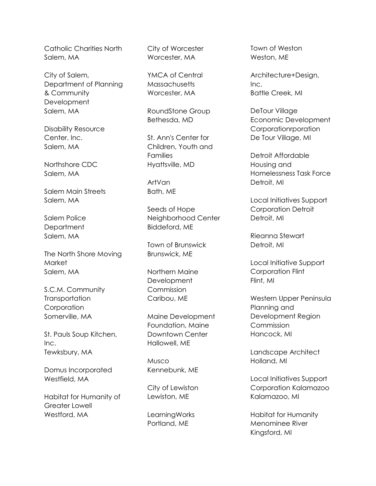Catholic Charities North Salem, MA

City of Salem, Department of Planning & Community **Development** Salem, MA

Disability Resource Center, Inc. Salem, MA

Northshore CDC Salem, MA

Salem Main Streets Salem, MA

Salem Police **Department** Salem, MA

The North Shore Moving **Market** Salem, MA

S.C.M. Community **Transportation** Corporation Somerville, MA

St. Pauls Soup Kitchen, Inc. Tewksbury, MA

Domus Incorporated Westfield, MA

Habitat for Humanity of Greater Lowell Westford, MA

City of Worcester Worcester, MA

YMCA of Central **Massachusetts** Worcester, MA

RoundStone Group Bethesda, MD

St. Ann's Center for Children, Youth and Families Hyattsville, MD

ArtVan Bath, ME

Seeds of Hope Neighborhood Center Biddeford, ME

Town of Brunswick Brunswick, ME

Northern Maine Development Commission Caribou, ME

Maine Development Foundation, Maine Downtown Center Hallowell, ME

Musco Kennebunk, ME

City of Lewiston Lewiston, ME

LearningWorks Portland, ME

Town of Weston Weston, ME

Architecture+Design, Inc. Battle Creek, MI

DeTour Village Economic Development Corporationrporation De Tour Village, MI

Detroit Affordable Housing and Homelessness Task Force Detroit, MI

Local Initiatives Support Corporation Detroit Detroit, MI

Rieanna Stewart Detroit, MI

Local Initiative Support Corporation Flint Flint, MI

Western Upper Peninsula Planning and Development Region **Commission** Hancock, MI

Landscape Architect Holland, MI

Local Initiatives Support Corporation Kalamazoo Kalamazoo, MI

Habitat for Humanity Menominee River Kingsford, MI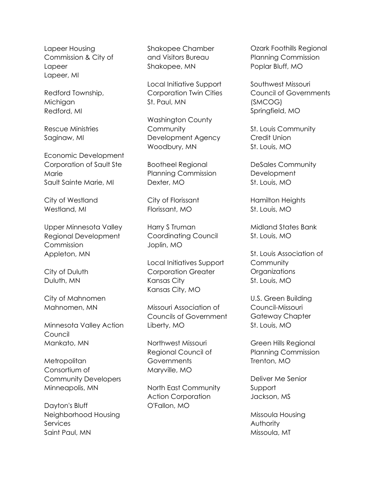Lapeer Housing Commission & City of Lapeer Lapeer, MI

Redford Township, **Michigan** Redford, MI

Rescue Ministries Saginaw, MI

Economic Development Corporation of Sault Ste Marie Sault Sainte Marie, MI

City of Westland Westland, MI

Upper Minnesota Valley Regional Development **Commission** Appleton, MN

City of Duluth Duluth, MN

City of Mahnomen Mahnomen, MN

Minnesota Valley Action Council Mankato, MN

**Metropolitan** Consortium of Community Developers Minneapolis, MN

Dayton's Bluff Neighborhood Housing **Services** Saint Paul, MN

Shakopee Chamber and Visitors Bureau Shakopee, MN

Local Initiative Support Corporation Twin Cities St. Paul, MN

Washington County **Community** Development Agency Woodbury, MN

Bootheel Regional Planning Commission Dexter, MO

City of Florissant Florissant, MO

Harry S Truman Coordinating Council Joplin, MO

Local Initiatives Support Corporation Greater Kansas City Kansas City, MO

Missouri Association of Councils of Government Liberty, MO

Northwest Missouri Regional Council of **Governments** Maryville, MO

North East Community Action Corporation O'Fallon, MO

Ozark Foothills Regional Planning Commission Poplar Bluff, MO

Southwest Missouri Council of Governments (SMCOG) Springfield, MO

St. Louis Community Credit Union St. Louis, MO

DeSales Community **Development** St. Louis, MO

Hamilton Heights St. Louis, MO

Midland States Bank St. Louis, MO

St. Louis Association of **Community** Organizations St. Louis, MO

U.S. Green Building Council-Missouri Gateway Chapter St. Louis, MO

Green Hills Regional Planning Commission Trenton, MO

Deliver Me Senior Support Jackson, MS

Missoula Housing Authority Missoula, MT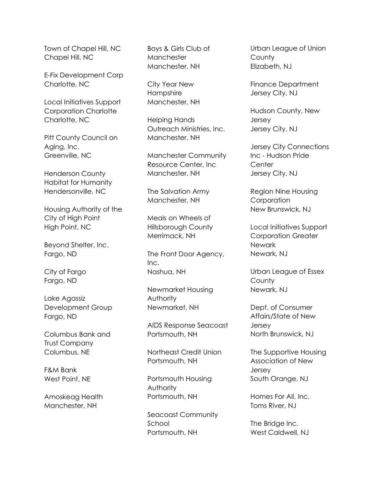Town of Chapel Hill, NC Chapel Hill, NC

E-Fix Development Corp Charlotte, NC

Local Initiatives Support Corporation Charlotte Charlotte, NC

Pitt County Council on Aging, Inc. Greenville, NC

Henderson County Habitat for Humanity Hendersonville, NC

Housing Authority of the City of High Point High Point, NC

Beyond Shelter, Inc. Fargo, ND

City of Fargo Fargo, ND

Lake Agassiz Development Group Fargo, ND

Columbus Bank and Trust Company Columbus, NE

F&M Bank West Point, NE

Amoskeag Health Manchester, NH

Boys & Girls Club of **Manchester** Manchester, NH

City Year New Hampshire Manchester, NH

Helping Hands Outreach Ministries, Inc. Manchester, NH

Manchester Community Resource Center, Inc Manchester, NH

The Salvation Army Manchester, NH

Meals on Wheels of Hillsborough County Merrimack, NH

The Front Door Agency, Inc. Nashua, NH

Newmarket Housing Authority Newmarket, NH

AIDS Response Seacoast Portsmouth, NH

Northeast Credit Union Portsmouth, NH

Portsmouth Housing Authority Portsmouth, NH

Seacoast Community School Portsmouth, NH

Urban League of Union **County** Elizabeth, NJ

Finance Department Jersey City, NJ

Hudson County, New Jersey Jersey City, NJ

Jersey City Connections Inc - Hudson Pride **Center** Jersey City, NJ

Region Nine Housing **Corporation** New Brunswick, NJ

Local Initiatives Support Corporation Greater Newark Newark, NJ

Urban League of Essex **County** Newark, NJ

Dept. of Consumer Affairs/State of New **Jersey** North Brunswick, NJ

The Supportive Housing Association of New Jersey South Orange, NJ

Homes For All, Inc. Toms River, NJ

The Bridge Inc. West Caldwell, NJ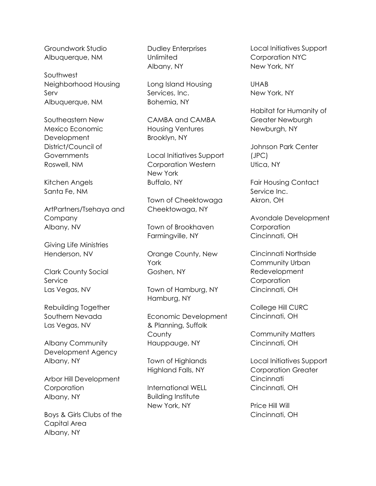Groundwork Studio Albuquerque, NM

Southwest Neighborhood Housing Serv Albuquerque, NM

Southeastern New Mexico Economic **Development** District/Council of **Governments** Roswell, NM

Kitchen Angels Santa Fe, NM

ArtPartners/Tsehaya and Company Albany, NV

Giving Life Ministries Henderson, NV

Clark County Social Service Las Vegas, NV

Rebuilding Together Southern Nevada Las Vegas, NV

Albany Community Development Agency Albany, NY

Arbor Hill Development **Corporation** Albany, NY

Boys & Girls Clubs of the Capital Area Albany, NY

Dudley Enterprises **Unlimited** Albany, NY

Long Island Housing Services, Inc. Bohemia, NY

CAMBA and CAMBA Housing Ventures Brooklyn, NY

Local Initiatives Support Corporation Western New York Buffalo, NY

Town of Cheektowaga Cheektowaga, NY

Town of Brookhaven Farmingville, NY

Orange County, New York Goshen, NY

Town of Hamburg, NY Hamburg, NY

Economic Development & Planning, Suffolk **County** Hauppauge, NY

Town of Highlands Highland Falls, NY

International WELL Building Institute New York, NY

Local Initiatives Support Corporation NYC New York, NY

UHAB New York, NY

Habitat for Humanity of Greater Newburgh Newburgh, NY

Johnson Park Center (JPC) Utica, NY

Fair Housing Contact Service Inc. Akron, OH

Avondale Development **Corporation** Cincinnati, OH

Cincinnati Northside Community Urban Redevelopment **Corporation** Cincinnati, OH

College Hill CURC Cincinnati, OH

Community Matters Cincinnati, OH

Local Initiatives Support Corporation Greater **Cincinnati** Cincinnati, OH

Price Hill Will Cincinnati, OH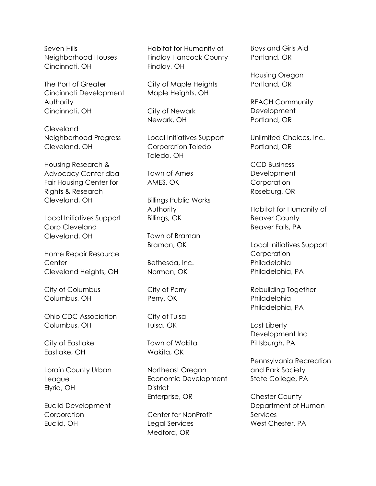Seven Hills Neighborhood Houses Cincinnati, OH

The Port of Greater Cincinnati Development Authority Cincinnati, OH

Cleveland Neighborhood Progress Cleveland, OH

Housing Research & Advocacy Center dba Fair Housing Center for Rights & Research Cleveland, OH

Local Initiatives Support Corp Cleveland Cleveland, OH

Home Repair Resource **Center** Cleveland Heights, OH

City of Columbus Columbus, OH

Ohio CDC Association Columbus, OH

City of Eastlake Eastlake, OH

Lorain County Urban League Elyria, OH

Euclid Development **Corporation** Euclid, OH

Habitat for Humanity of Findlay Hancock County Findlay, OH

City of Maple Heights Maple Heights, OH

City of Newark Newark, OH

Local Initiatives Support Corporation Toledo Toledo, OH

Town of Ames AMES, OK

Billings Public Works **Authority** Billings, OK

Town of Braman Braman, OK

Bethesda, Inc. Norman, OK

City of Perry Perry, OK

City of Tulsa Tulsa, OK

Town of Wakita Wakita, OK

Northeast Oregon Economic Development **District** Enterprise, OR

Center for NonProfit Legal Services Medford, OR

Boys and Girls Aid Portland, OR

Housing Oregon Portland, OR

REACH Community **Development** Portland, OR

Unlimited Choices, Inc. Portland, OR

CCD Business **Development Corporation** Roseburg, OR

Habitat for Humanity of Beaver County Beaver Falls, PA

Local Initiatives Support **Corporation** Philadelphia Philadelphia, PA

Rebuilding Together Philadelphia Philadelphia, PA

East Liberty Development Inc Pittsburgh, PA

Pennsylvania Recreation and Park Society State College, PA

Chester County Department of Human **Services** West Chester, PA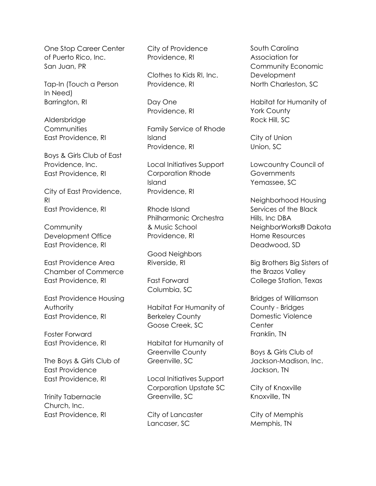One Stop Career Center of Puerto Rico, Inc. San Juan, PR

Tap-In (Touch a Person In Need) Barrington, RI

Aldersbridge **Communities** East Providence, RI

Boys & Girls Club of East Providence, Inc. East Providence, RI

City of East Providence, RI East Providence, RI

**Community** Development Office East Providence, RI

East Providence Area Chamber of Commerce East Providence, RI

East Providence Housing Authority East Providence, RI

Foster Forward East Providence, RI

The Boys & Girls Club of East Providence East Providence, RI

Trinity Tabernacle Church, Inc. East Providence, RI City of Providence Providence, RI

Clothes to Kids RI, Inc. Providence, RI

Day One Providence, RI

Family Service of Rhode Island Providence, RI

Local Initiatives Support Corporation Rhode Island Providence, RI

Rhode Island Philharmonic Orchestra & Music School Providence, RI

Good Neighbors Riverside, RI

Fast Forward Columbia, SC

Habitat For Humanity of Berkeley County Goose Creek, SC

Habitat for Humanity of Greenville County Greenville, SC

Local Initiatives Support Corporation Upstate SC Greenville, SC

City of Lancaster Lancaser, SC

South Carolina Association for Community Economic **Development** North Charleston, SC

Habitat for Humanity of York County Rock Hill, SC

City of Union Union, SC

Lowcountry Council of **Governments** Yemassee, SC

Neighborhood Housing Services of the Black Hills, Inc DBA NeighborWorks® Dakota Home Resources Deadwood, SD

Big Brothers Big Sisters of the Brazos Valley College Station, Texas

Bridges of Williamson County - Bridges Domestic Violence **Center** Franklin, TN

Boys & Girls Club of Jackson-Madison, Inc. Jackson, TN

City of Knoxville Knoxville, TN

City of Memphis Memphis, TN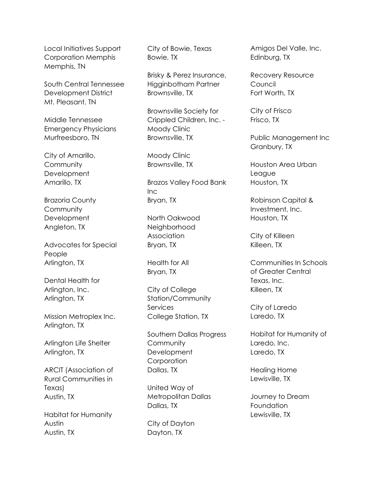Local Initiatives Support Corporation Memphis Memphis, TN

South Central Tennessee Development District Mt. Pleasant, TN

Middle Tennessee Emergency Physicians Murfreesboro, TN

City of Amarillo, **Community Development** Amarillo, TX

Brazoria County **Community Development** Angleton, TX

Advocates for Special People Arlington, TX

Dental Health for Arlington, Inc. Arlington, TX

Mission Metroplex Inc. Arlington, TX

Arlington Life Shelter Arlington, TX

ARCIT (Association of Rural Communities in Texas) Austin, TX

Habitat for Humanity Austin Austin, TX

City of Bowie, Texas Bowie, TX

Brisky & Perez Insurance, Higginbotham Partner Brownsville, TX

Brownsville Society for Crippled Children, Inc. - Moody Clinic Brownsville, TX

Moody Clinic Brownsville, TX

Brazos Valley Food Bank Inc Bryan, TX

North Oakwood Neighborhood Association Bryan, TX

Health for All Bryan, TX

City of College Station/Community Services College Station, TX

Southern Dallas Progress **Community Development Corporation** Dallas, TX

United Way of Metropolitan Dallas Dallas, TX

City of Dayton Dayton, TX

Amigos Del Valle, Inc. Edinburg, TX

Recovery Resource **Council** Fort Worth, TX

City of Frisco Frisco, TX

Public Management Inc Granbury, TX

Houston Area Urban League Houston, TX

Robinson Capital & Investment, Inc. Houston, TX

City of Killeen Killeen, TX

Communities In Schools of Greater Central Texas, Inc. Killeen, TX

City of Laredo Laredo, TX

Habitat for Humanity of Laredo, Inc. Laredo, TX

Healing Home Lewisville, TX

Journey to Dream **Foundation** Lewisville, TX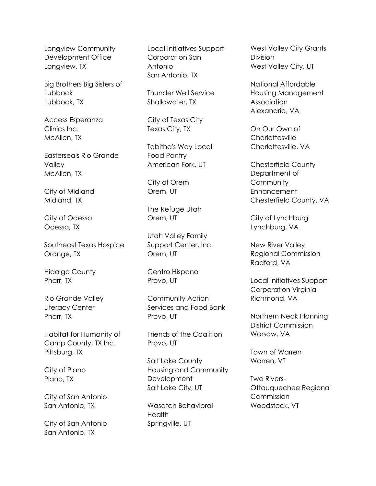Longview Community Development Office Longview, TX

Big Brothers Big Sisters of Lubbock Lubbock, TX

Access Esperanza Clinics Inc. McAllen, TX

Easterseals Rio Grande Valley McAllen, TX

City of Midland Midland, TX

City of Odessa Odessa, TX

Southeast Texas Hospice Orange, TX

Hidalgo County Pharr, TX

Rio Grande Valley Literacy Center Pharr, TX

Habitat for Humanity of Camp County, TX Inc. Pittsburg, TX

City of Plano Plano, TX

City of San Antonio San Antonio, TX

City of San Antonio San Antonio, TX

Local Initiatives Support Corporation San Antonio San Antonio, TX

Thunder Well Service Shallowater, TX

City of Texas City Texas City, TX

Tabitha's Way Local Food Pantry American Fork, UT

City of Orem Orem, UT

The Refuge Utah Orem, UT

Utah Valley Family Support Center, Inc. Orem, UT

Centro Hispano Provo, UT

Community Action Services and Food Bank Provo, UT

Friends of the Coalition Provo, UT

Salt Lake County Housing and Community **Development** Salt Lake City, UT

Wasatch Behavioral **Health** Springville, UT

West Valley City Grants Division West Valley City, UT

National Affordable Housing Management **Association** Alexandria, VA

On Our Own of **Charlottesville** Charlottesville, VA

Chesterfield County Department of **Community Enhancement** Chesterfield County, VA

City of Lynchburg Lynchburg, VA

New River Valley Regional Commission Radford, VA

Local Initiatives Support Corporation Virginia Richmond, VA

Northern Neck Planning District Commission Warsaw, VA

Town of Warren Warren, VT

Two Rivers-Ottauquechee Regional Commission Woodstock, VT